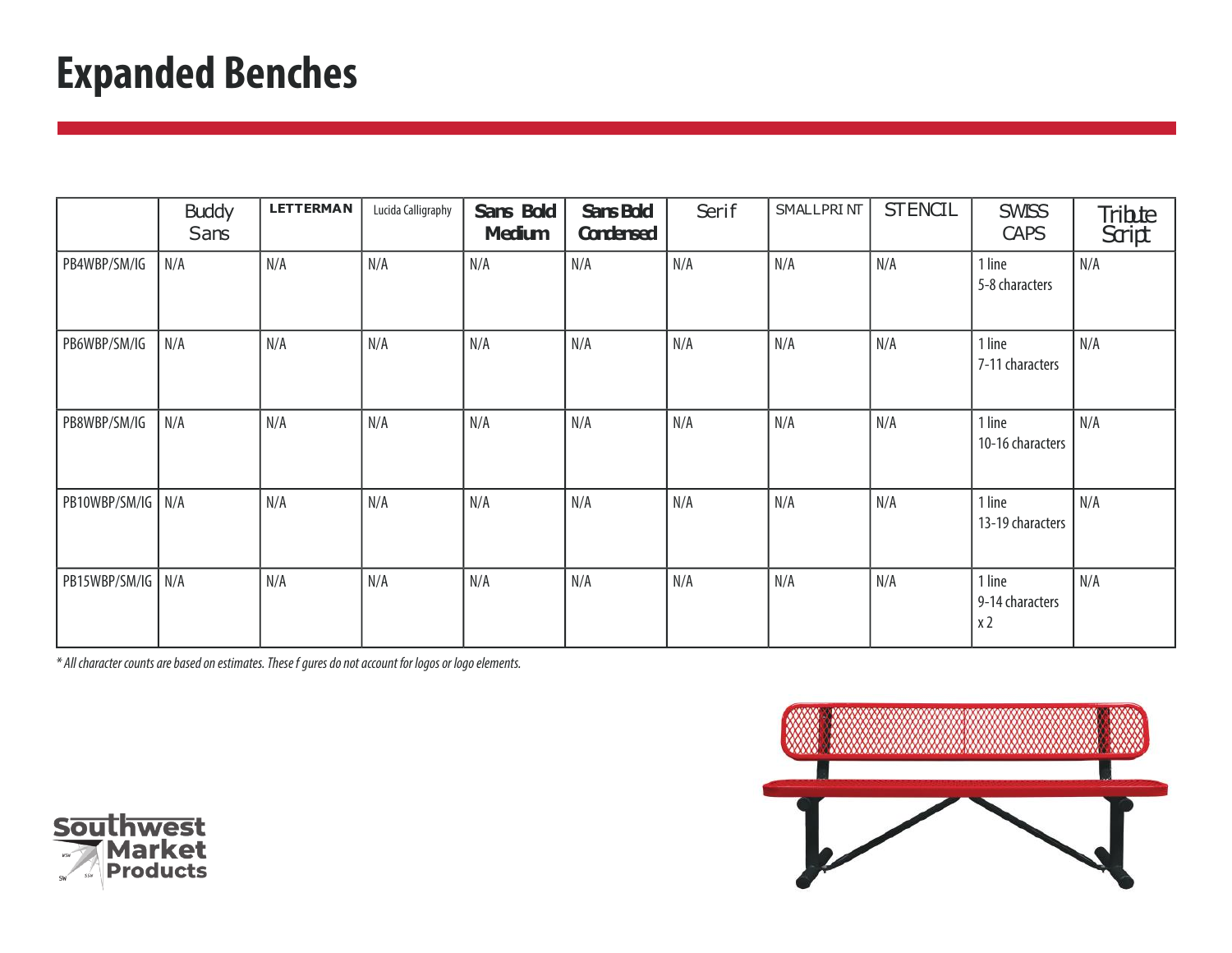## **Expanded Benches**

|                     | <b>Buddy</b><br>Sans | <b>LETTERMAN</b> | Lucida Calligraphy | Sans Bold<br><b>Medium</b> | Sans Bold<br><b>Condensed</b> | Serif | <b>SMALLPRINT</b> | <b>STENCIL</b> | <b>SWISS</b><br><b>CAPS</b>                 | Tribite<br>Script |
|---------------------|----------------------|------------------|--------------------|----------------------------|-------------------------------|-------|-------------------|----------------|---------------------------------------------|-------------------|
| PB4WBP/SM/IG        | N/A                  | N/A              | N/A                | N/A                        | N/A                           | N/A   | N/A               | N/A            | 1 line<br>5-8 characters                    | N/A               |
| PB6WBP/SM/IG        | N/A                  | N/A              | N/A                | N/A                        | N/A                           | N/A   | N/A               | N/A            | 1 line<br>7-11 characters                   | N/A               |
| PB8WBP/SM/IG        | N/A                  | N/A              | N/A                | N/A                        | N/A                           | N/A   | N/A               | N/A            | 1 line<br>10-16 characters                  | N/A               |
| PB10WBP/SM/IG   N/A |                      | N/A              | N/A                | N/A                        | N/A                           | N/A   | N/A               | N/A            | 1 line<br>13-19 characters                  | N/A               |
| PB15WBP/SM/IG N/A   |                      | N/A              | N/A                | N/A                        | N/A                           | N/A   | N/A               | N/A            | 1 line<br>9-14 characters<br>x <sub>2</sub> | N/A               |



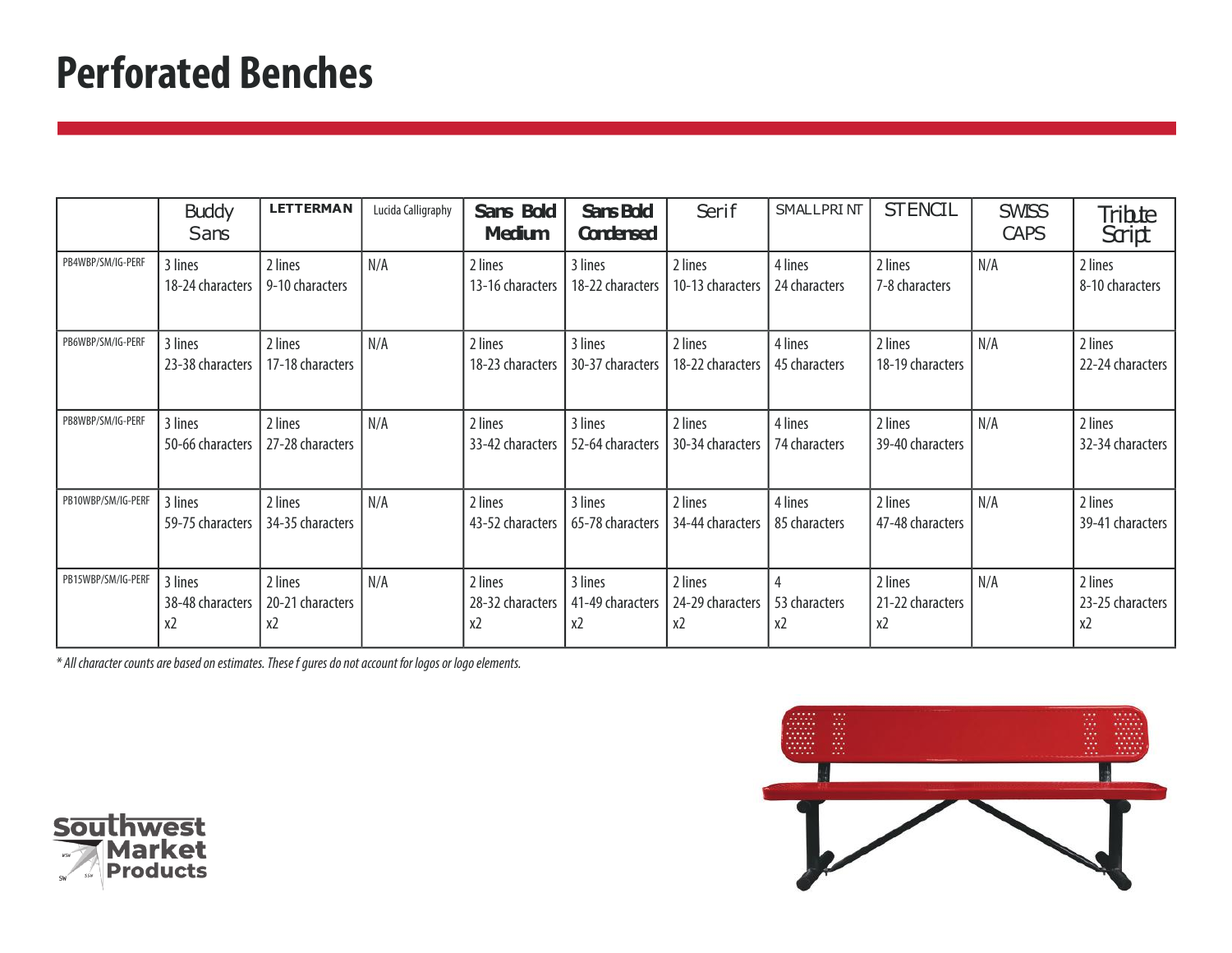#### **Perforated Benches**

|                    | <b>Buddy</b><br>Sans              | <b>LETTERMAN</b>                  | Lucida Calligraphy | Sans Bold<br><b>Medium</b>        | <b>Sans Bold</b><br><b>Condensed</b> | Serif                             | <b>SMALLPRINT</b>        | <b>STENCIL</b>                    | <b>SWISS</b><br><b>CAPS</b> | Tribte<br>Script                  |
|--------------------|-----------------------------------|-----------------------------------|--------------------|-----------------------------------|--------------------------------------|-----------------------------------|--------------------------|-----------------------------------|-----------------------------|-----------------------------------|
| PB4WBP/SM/IG-PERF  | 3 lines<br>18-24 characters       | 2 lines<br>9-10 characters        | N/A                | 2 lines<br>13-16 characters       | 3 lines<br>18-22 characters          | 2 lines<br>10-13 characters       | 4 lines<br>24 characters | 2 lines<br>7-8 characters         | N/A                         | 2 lines<br>8-10 characters        |
| PB6WBP/SM/IG-PERF  | 3 lines<br>23-38 characters       | 2 lines<br>17-18 characters       | N/A                | 2 lines<br>18-23 characters       | 3 lines<br>30-37 characters          | 2 lines<br>18-22 characters       | 4 lines<br>45 characters | 2 lines<br>18-19 characters       | N/A                         | 2 lines<br>22-24 characters       |
| PB8WBP/SM/IG-PERF  | 3 lines<br>50-66 characters       | 2 lines<br>27-28 characters       | N/A                | 2 lines<br>33-42 characters       | 3 lines<br>52-64 characters          | 2 lines<br>30-34 characters       | 4 lines<br>74 characters | 2 lines<br>39-40 characters       | N/A                         | 2 lines<br>32-34 characters       |
| PB10WBP/SM/IG-PERF | 3 lines<br>59-75 characters       | 2 lines<br>34-35 characters       | N/A                | 2 lines<br>43-52 characters       | 3 lines<br>65-78 characters          | 2 lines<br>34-44 characters       | 4 lines<br>85 characters | 2 lines<br>47-48 characters       | N/A                         | 2 lines<br>39-41 characters       |
| PB15WBP/SM/IG-PERF | 3 lines<br>38-48 characters<br>x2 | 2 lines<br>20-21 characters<br>x2 | N/A                | 2 lines<br>28-32 characters<br>x2 | 3 lines<br>41-49 characters<br>x2    | 2 lines<br>24-29 characters<br>x2 | 53 characters<br>x2      | 2 lines<br>21-22 characters<br>x2 | N/A                         | 2 lines<br>23-25 characters<br>x2 |



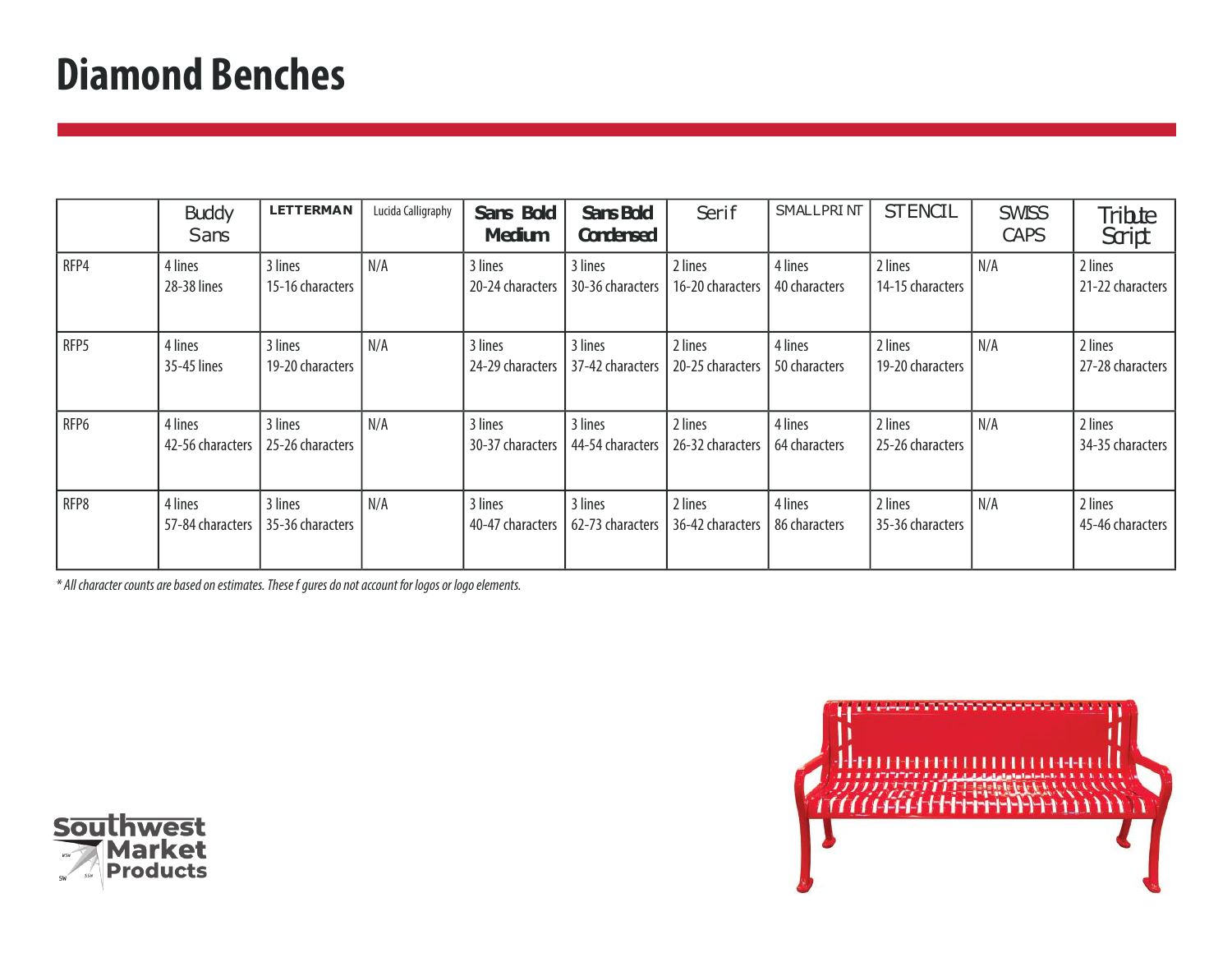### **Diamond Benches**

|      | <b>Buddy</b><br>Sans        | <b>LETTERMAN</b>            | Lucida Calligraphy | Sans Bold<br><b>Medium</b>  | <b>Sans Bold</b><br><b>Condensed</b> | Serif                       | <b>SMALLPRINT</b>        | <b>STENCIL</b>              | <b>SWISS</b><br><b>CAPS</b> | Tribte<br>Script            |
|------|-----------------------------|-----------------------------|--------------------|-----------------------------|--------------------------------------|-----------------------------|--------------------------|-----------------------------|-----------------------------|-----------------------------|
| RFP4 | 4 lines<br>28-38 lines      | 3 lines<br>15-16 characters | N/A                | 3 lines<br>20-24 characters | 3 lines<br>30-36 characters          | 2 lines<br>16-20 characters | 4 lines<br>40 characters | 2 lines<br>14-15 characters | N/A                         | 2 lines<br>21-22 characters |
| RFP5 | 4 lines<br>35-45 lines      | 3 lines<br>19-20 characters | N/A                | 3 lines<br>24-29 characters | 3 lines<br>37-42 characters          | 2 lines<br>20-25 characters | 4 lines<br>50 characters | 2 lines<br>19-20 characters | N/A                         | 2 lines<br>27-28 characters |
| RFP6 | 4 lines<br>42-56 characters | 3 lines<br>25-26 characters | N/A                | 3 lines<br>30-37 characters | 3 lines<br>44-54 characters          | 2 lines<br>26-32 characters | 4 lines<br>64 characters | 2 lines<br>25-26 characters | N/A                         | 2 lines<br>34-35 characters |
| RFP8 | 4 lines<br>57-84 characters | 3 lines<br>35-36 characters | N/A                | 3 lines<br>40-47 characters | 3 lines<br>62-73 characters          | 2 lines<br>36-42 characters | 4 lines<br>86 characters | 2 lines<br>35-36 characters | N/A                         | 2 lines<br>45-46 characters |



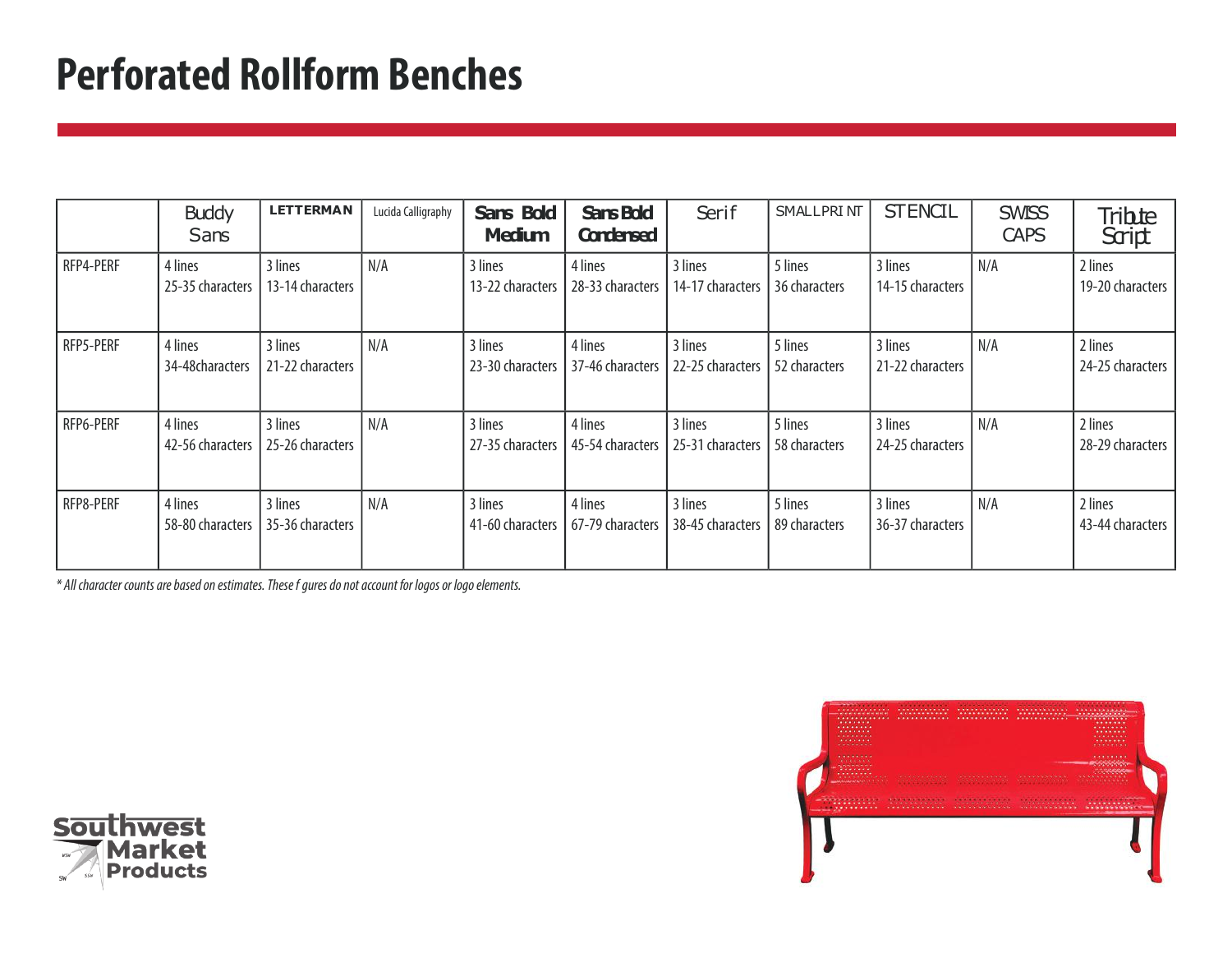### **Perforated Rollform Benches**

|           | <b>Buddy</b><br>Sans        | <b>LETTERMAN</b>            | Lucida Calligraphy | Sans Bold<br><b>Medium</b>  | <b>Sans Bold</b><br><b>Condensed</b> | Serif                       | <b>SMALLPRINT</b>        | <b>STENCIL</b>              | <b>SWISS</b><br><b>CAPS</b> | Tribte<br>Script            |
|-----------|-----------------------------|-----------------------------|--------------------|-----------------------------|--------------------------------------|-----------------------------|--------------------------|-----------------------------|-----------------------------|-----------------------------|
| RFP4-PERF | 4 lines<br>25-35 characters | 3 lines<br>13-14 characters | N/A                | 3 lines<br>13-22 characters | 4 lines<br>28-33 characters          | 3 lines<br>14-17 characters | 5 lines<br>36 characters | 3 lines<br>14-15 characters | N/A                         | 2 lines<br>19-20 characters |
| RFP5-PERF | 4 lines<br>34-48characters  | 3 lines<br>21-22 characters | N/A                | 3 lines<br>23-30 characters | 4 lines<br>37-46 characters          | 3 lines<br>22-25 characters | 5 lines<br>52 characters | 3 lines<br>21-22 characters | N/A                         | 2 lines<br>24-25 characters |
| RFP6-PERF | 4 lines<br>42-56 characters | 3 lines<br>25-26 characters | N/A                | 3 lines<br>27-35 characters | 4 lines<br>45-54 characters          | 3 lines<br>25-31 characters | 5 lines<br>58 characters | 3 lines<br>24-25 characters | N/A                         | 2 lines<br>28-29 characters |
| RFP8-PERF | 4 lines<br>58-80 characters | 3 lines<br>35-36 characters | N/A                | 3 lines<br>41-60 characters | 4 lines<br>67-79 characters          | 3 lines<br>38-45 characters | 5 lines<br>89 characters | 3 lines<br>36-37 characters | N/A                         | 2 lines<br>43-44 characters |